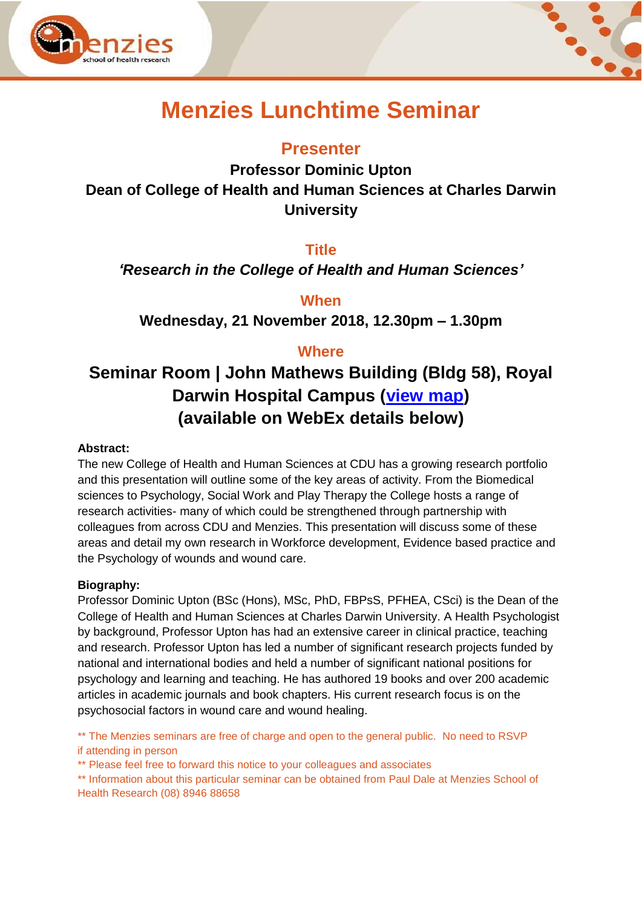



# **Menzies Lunchtime Seminar**

# **Presenter**

**Professor Dominic Upton Dean of College of Health and Human Sciences at Charles Darwin University** 

### **Title**

*'Research in the College of Health and Human Sciences'*

**When**

**Wednesday, 21 November 2018, 12.30pm – 1.30pm**

## **Where**

# **Seminar Room | John Mathews Building (Bldg 58), Royal Darwin Hospital Campus [\(view map\)](https://www.menzies.edu.au/icms_docs/190217_Royal_Darwin_Hospital_campus_map.pdf) (available on WebEx details below)**

#### **Abstract:**

The new College of Health and Human Sciences at CDU has a growing research portfolio and this presentation will outline some of the key areas of activity. From the Biomedical sciences to Psychology, Social Work and Play Therapy the College hosts a range of research activities- many of which could be strengthened through partnership with colleagues from across CDU and Menzies. This presentation will discuss some of these areas and detail my own research in Workforce development, Evidence based practice and the Psychology of wounds and wound care.

#### **Biography:**

Professor Dominic Upton (BSc (Hons), MSc, PhD, FBPsS, PFHEA, CSci) is the Dean of the College of Health and Human Sciences at Charles Darwin University. A Health Psychologist by background, Professor Upton has had an extensive career in clinical practice, teaching and research. Professor Upton has led a number of significant research projects funded by national and international bodies and held a number of significant national positions for psychology and learning and teaching. He has authored 19 books and over 200 academic articles in academic journals and book chapters. His current research focus is on the psychosocial factors in wound care and wound healing.

\*\* The Menzies seminars are free of charge and open to the general public. No need to RSVP if attending in person

\*\* Please feel free to forward this notice to your colleagues and associates

\*\* Information about this particular seminar can be obtained from Paul Dale at Menzies School of Health Research (08) 8946 88658